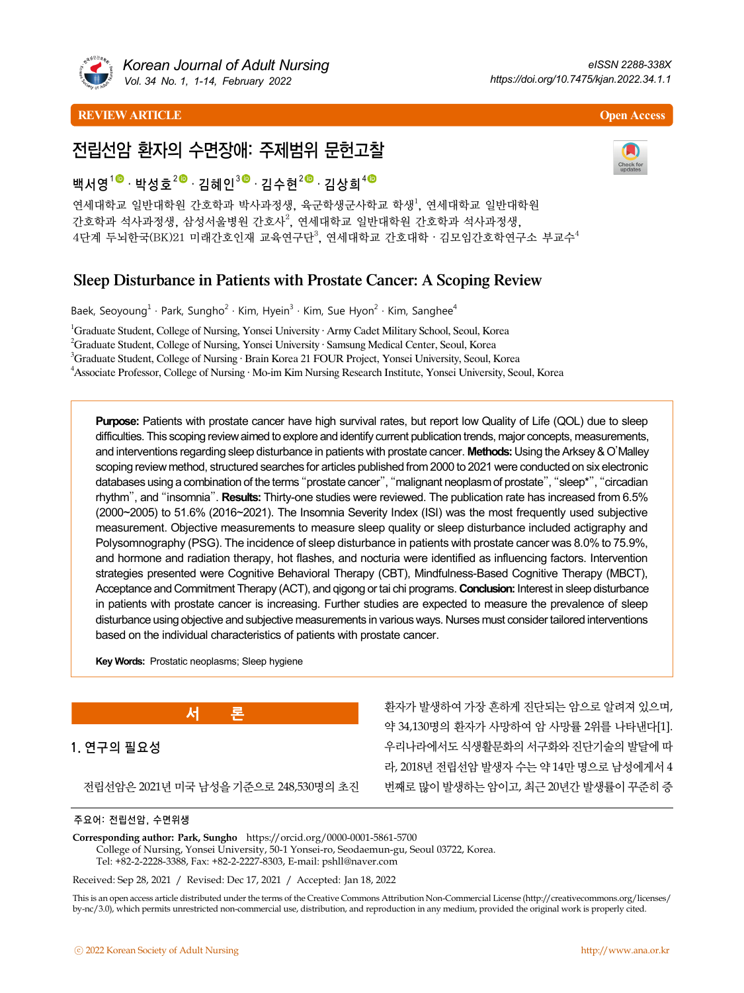

*Korean Journal of Adult Nursing Vol. 34 No. 1, 1-14, February 2022*

#### **REVIEW ARTICLE Open Access**



# 전립선암 환자의 수면장애: 주제범위 문헌고찰

# 백서영<sup>1◎</sup>· 박성호<sup>2◎</sup> · 김혜인<sup>3◎</sup> · 김수현<sup>2◎</sup> · 김상희<sup>4◎</sup>

연세대학교 일반대학원 간호학과 박사과정생, 육군학생군사학교 학생<sup>1</sup>, 연세대학교 일반대학원 간호학과 석사과정생, 삼성서울병원 간호사<sup>2</sup>, 연세대학교 일반대학원 간호학과 석사과정생, 4단계 두뇌한국(BK)21 미래간호인재 교육연구단 $^3$ , 연세대학교 간호대학 · 김모임간호학연구소 부교수 $^4$ 

# Sleep Disturbance in Patients with Prostate Cancer: A Scoping Review

Baek, Seoyoung $^1$  · Park, Sungho<sup>2</sup> · Kim, Hyein $^3$  · Kim, Sue Hyon<sup>2</sup> · Kim, Sanghee<sup>4</sup>

<sup>1</sup>Graduate Student, College of Nursing, Yonsei University · Army Cadet Military School, Seoul, Korea

<sup>2</sup>Graduate Student, College of Nursing, Yonsei University · Samsung Medical Center, Seoul, Korea

<sup>3</sup>Graduate Student, College of Nursing · Brain Korea 21 FOUR Project, Yonsei University, Seoul, Korea

4 Associate Professor, College of Nursing · Mo-im Kim Nursing Research Institute, Yonsei University, Seoul, Korea

**Purpose:** Patients with prostate cancer have high survival rates, but report low Quality of Life (QOL) due to sleep difficulties. This scoping review aimed to explore and identify current publication trends, major concepts, measurements, and interventions regarding sleep disturbance in patients with prostate cancer. **Methods:** Using the Arksey & O'Malley scoping review method, structured searches for articles published from 2000 to 2021 were conducted on six electronic databases using a combination of the terms "prostate cancer", "malignant neoplasm of prostate", "sleep\*", "circadian rhythm", and "insomnia". **Results:** Thirty-one studies were reviewed. The publication rate has increased from 6.5% (2000~2005) to 51.6% (2016~2021). The Insomnia Severity Index (ISI) was the most frequently used subjective measurement. Objective measurements to measure sleep quality or sleep disturbance included actigraphy and Polysomnography (PSG). The incidence of sleep disturbance in patients with prostate cancer was 8.0% to 75.9%, and hormone and radiation therapy, hot flashes, and nocturia were identified as influencing factors. Intervention strategies presented were Cognitive Behavioral Therapy (CBT), Mindfulness-Based Cognitive Therapy (MBCT), Acceptance and Commitment Therapy (ACT), and qigong or tai chi programs. **Conclusion:** Interest in sleep disturbance in patients with prostate cancer is increasing. Further studies are expected to measure the prevalence of sleep disturbance using objective and subjective measurements in various ways. Nurses must consider tailored interventions based on the individual characteristics of patients with prostate cancer.

**Key Words:** Prostatic neoplasms; Sleep hygiene



전립선암은 2021년 미국 남성을 기준으로 248,530명의 초진

환자가 발생하여 가장 흔하게 진단되는 암으로 알려져 있으며, 약 34,130명의 환자가 사망하여 암 사망률 2위를 나타낸다[1]. 우리나라에서도 식생활문화의 서구화와 진단기술의 발달에 따 라, 2018년 전립선암 발생자 수는 약 14만 명으로 남성에게서 4 번째로 많이 발생하는 암이고, 최근 20년간 발생률이 꾸준히 증

#### 주요어: 전립선암, 수면위생

**Corresponding author: Park, Sungho** https://orcid.org/0000-0001-5861-5700 College of Nursing, Yonsei University, 50-1 Yonsei-ro, Seodaemun-gu, Seoul 03722, Korea. Tel: +82-2-2228-3388, Fax: +82-2-2227-8303, E-mail: pshll@naver.com

Received: Sep 28, 2021 / Revised: Dec 17, 2021 / Accepted: Jan 18, 2022

This is an open access article distributed under the terms of the Creative Commons Attribution Non-Commercial License (http://creativecommons.org/licenses/ by-nc/3.0), which permits unrestricted non-commercial use, distribution, and reproduction in any medium, provided the original work is properly cited.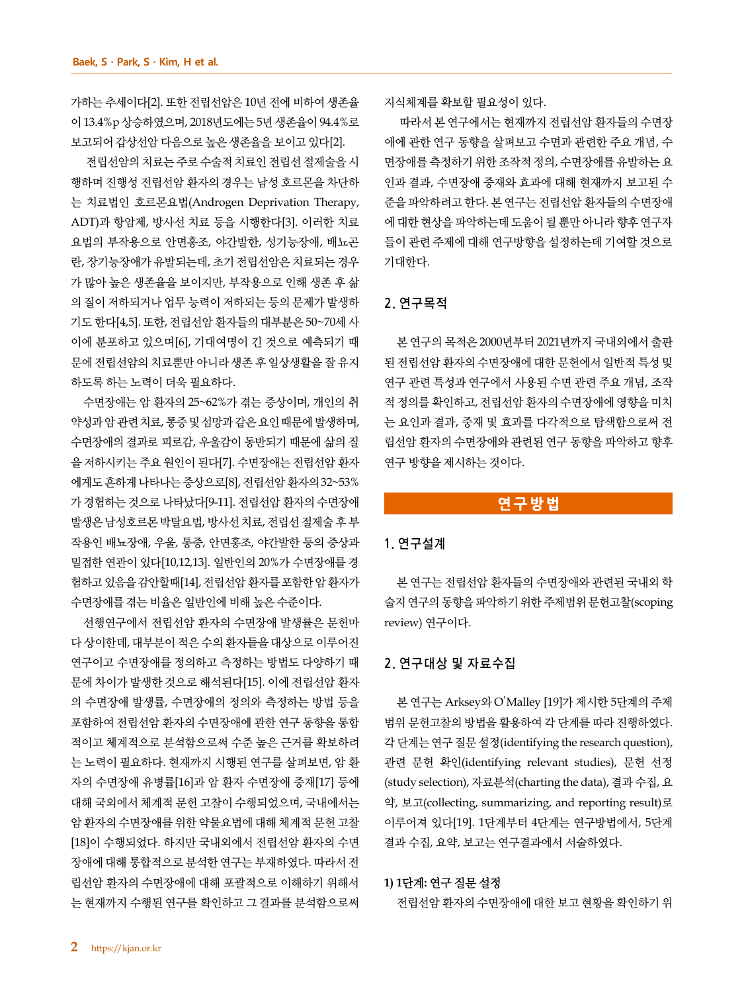가하는 추세이다[2]. 또한 전립선암은 10년 전에 비하여 생존율 이 13.4%p 상승하였으며, 2018년도에는 5년 생존율이 94.4%로 보고되어 갑상선암 다음으로 높은 생존율을 보이고 있다[2].

전립선암의 치료는 주로 수술적 치료인 전립선 절제술을 시 행하며 진행성 전립선암 환자의 경우는 남성 호르몬을 차단하 는 치료법인 호르몬요법(Androgen Deprivation Therapy, ADT)과 항암제, 방사선 치료 등을 시행한다[3]. 이러한 치료 요법의 부작용으로 안면홍조, 야간발한, 성기능장애, 배뇨곤 란, 장기능장애가 유발되는데, 초기 전립선암은 치료되는 경우 가 많아 높은 생존율을 보이지만, 부작용으로 인해 생존 후 삶 의 질이 저하되거나 업무 능력이 저하되는 등의 문제가 발생하 기도 한다[4,5]. 또한, 전립선암 환자들의 대부분은 50~70세 사 이에 분포하고 있으며[6], 기대여명이 긴 것으로 예측되기 때 문에 전립선암의 치료뿐만 아니라 생존 후 일상생활을 잘 유지 하도록 하는 노력이 더욱 필요하다.

수면장애는 암 환자의 25~62%가 겪는 증상이며, 개인의 취 약성과 암 관련 치료, 통증 및 섬망과 같은 요인 때문에 발생하며, 수면장애의 결과로 피로감, 우울감이 동반되기 때문에 삶의 질 을 저하시키는 주요 원인이 된다[7]. 수면장애는 전립선암 환자 에게도 흔하게 나타나는 증상으로[8], 전립선암 환자의 32~53% 가 경험하는 것으로 나타났다[9-11]. 전립선암 환자의 수면장애 발생은 남성호르몬 박탈요법, 방사선 치료, 전립선 절제술 후 부 작용인 배뇨장애, 우울, 통증, 안면홍조, 야간발한 등의 증상과 밀접한 연관이 있다[10,12,13]. 일반인의 20%가 수면장애를 경 험하고 있음을 감안할때[14], 전립선암 환자를 포함한 암 환자가 수면장애를 겪는 비율은 일반인에 비해 높은 수준이다.

선행연구에서 전립선암 환자의 수면장애 발생률은 문헌마 다 상이한데, 대부분이 적은 수의 환자들을 대상으로 이루어진 연구이고 수면장애를 정의하고 측정하는 방법도 다양하기 때 문에 차이가 발생한 것으로 해석된다[15]. 이에 전립선암 환자 의 수면장애 발생률, 수면장애의 정의와 측정하는 방법 등을 포함하여 전립선암 환자의 수면장애에 관한 연구 동향을 통합 적이고 체계적으로 분석함으로써 수준 높은 근거를 확보하려 는 노력이 필요하다. 현재까지 시행된 연구를 살펴보면, 암 환 자의 수면장애 유병률[16]과 암 환자 수면장애 중재[17] 등에 대해 국외에서 체계적 문헌 고찰이 수행되었으며, 국내에서는 암 환자의 수면장애를 위한 약물요법에 대해 체계적 문헌 고찰 [18]이 수행되었다. 하지만 국내외에서 전립선암 환자의 수면 장애에 대해 통합적으로 분석한 연구는 부재하였다. 따라서 전 립선암 환자의 수면장애에 대해 포괄적으로 이해하기 위해서 는 현재까지 수행된 연구를 확인하고 그 결과를 분석함으로써

지식체계를 확보할 필요성이 있다.

따라서 본 연구에서는 현재까지 전립선암 환자들의 수면장 애에 관한 연구 동향을 살펴보고 수면과 관련한 주요 개념, 수 면장애를 측정하기 위한 조작적 정의, 수면장애를 유발하는 요 인과 결과, 수면장애 중재와 효과에 대해 현재까지 보고된 수 준을 파악하려고 한다. 본 연구는 전립선암 환자들의 수면장애 에 대한 현상을 파악하는데 도움이 될 뿐만 아니라 향후 연구자 들이 관련 주제에 대해 연구방향을 설정하는데 기여할 것으로 기대한다.

## **2.** 연구목적

본 연구의 목적은 2000년부터 2021년까지 국내외에서 출판 된 전립선암 환자의 수면장애에 대한 문헌에서 일반적 특성 및 연구 관련 특성과 연구에서 사용된 수면 관련 주요 개념, 조작 적 정의를 확인하고, 전립선암 환자의 수면장애에 영향을 미치 는 요인과 결과, 중재 및 효과를 다각적으로 탐색함으로써 전 립선암 환자의 수면장애와 관련된 연구 동향을 파악하고 향후 연구 방향을 제시하는 것이다.

# **연구방법**

### **1.** 연구설계

본 연구는 전립선암 환자들의 수면장애와 관련된 국내외 학 술지 연구의 동향을 파악하기 위한 주제범위 문헌고찰(scoping review) 연구이다.

# **2.** 연구대상 및 자료수집

본 연구는 Arksey와 O'Malley [19]가 제시한 5단계의 주제 범위 문헌고찰의 방법을 활용하여 각 단계를 따라 진행하였다. 각 단계는 연구 질문 설정(identifying the research question), 관련 문헌 확인(identifying relevant studies), 문헌 선정 (study selection), 자료분석(charting the data), 결과 수집, 요 약, 보고(collecting, summarizing, and reporting result)로 이루어져 있다[19]. 1단계부터 4단계는 연구방법에서, 5단계 결과 수집, 요약, 보고는 연구결과에서 서술하였다.

# **1) 1**단계**:** 연구 질문 설정

전립선암 환자의 수면장애에 대한 보고 현황을 확인하기 위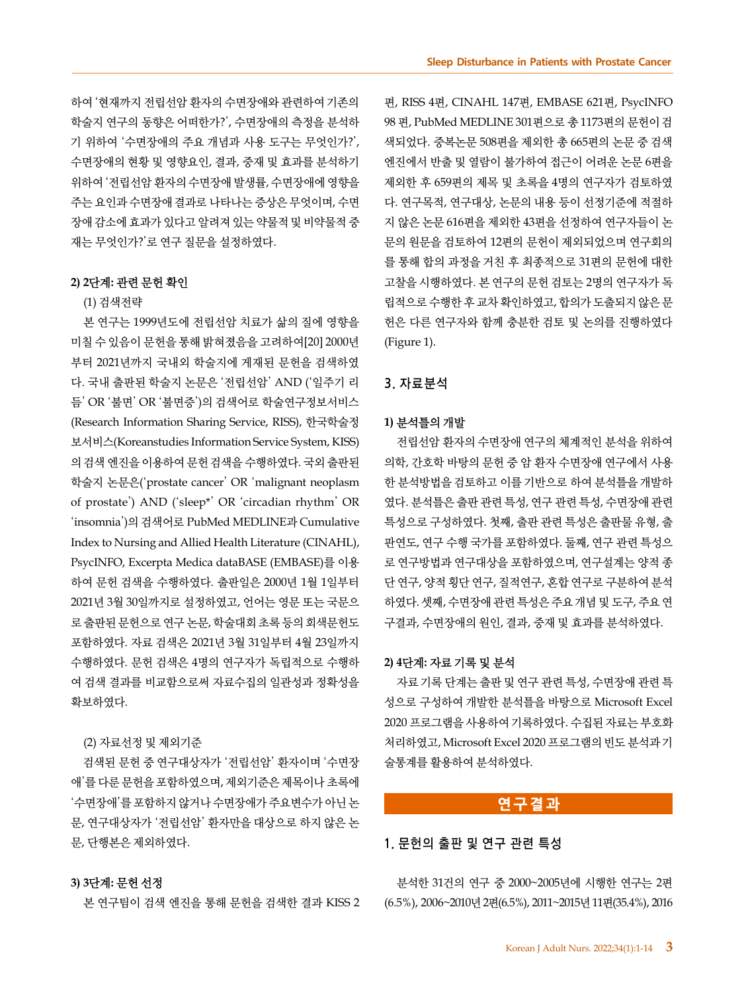하여 '현재까지 전립선암 환자의 수면장애와 관련하여 기존의 학술지 연구의 동향은 어떠한가?', 수면장애의 측정을 분석하 기 위하여 '수면장애의 주요 개념과 사용 도구는 무엇인가?', 수면장애의 현황 및 영향요인, 결과, 중재 및 효과를 분석하기 위하여 '전립선암 환자의 수면장애 발생률, 수면장애에 영향을 주는 요인과 수면장애 결과로 나타나는 증상은 무엇이며, 수면 장애 감소에 효과가 있다고 알려져 있는 약물적 및 비약물적 중 재는 무엇인가?'로 연구 질문을 설정하였다.

## **2) 2**단계**:** 관련 문헌 확인

#### (1) 검색전략

본 연구는 1999년도에 전립선암 치료가 삶의 질에 영향을 미칠 수 있음이 문헌을 통해 밝혀졌음을 고려하여[20] 2000년 부터 2021년까지 국내외 학술지에 게재된 문헌을 검색하였 다. 국내 출판된 학술지 논문은 '전립선암' AND ('일주기 리 듬' OR '불면' OR '불면증')의 검색어로 학술연구정보서비스 (Research Information Sharing Service, RISS), 한국학술정 보서비스(Koreanstudies Information Service System, KISS) 의 검색 엔진을 이용하여 문헌 검색을 수행하였다. 국외 출판된 학술지 논문은('prostate cancer' OR 'malignant neoplasm of prostate') AND ('sleep\*' OR 'circadian rhythm' OR 'insomnia')의 검색어로 PubMed MEDLINE과 Cumulative Index to Nursing and Allied Health Literature (CINAHL), PsycINFO, Excerpta Medica dataBASE (EMBASE)를 이용 하여 문헌 검색을 수행하였다. 출판일은 2000년 1월 1일부터 2021년 3월 30일까지로 설정하였고, 언어는 영문 또는 국문으 로 출판된 문헌으로 연구 논문, 학술대회 초록 등의 회색문헌도 포함하였다. 자료 검색은 2021년 3월 31일부터 4월 23일까지 수행하였다. 문헌 검색은 4명의 연구자가 독립적으로 수행하 여 검색 결과를 비교함으로써 자료수집의 일관성과 정확성을 확보하였다.

#### (2) 자료선정 및 제외기준

검색된 문헌 중 연구대상자가 '전립선암' 환자이며 '수면장 애'를 다룬 문헌을 포함하였으며, 제외기준은 제목이나 초록에 '수면장애'를 포함하지 않거나 수면장애가 주요변수가 아닌 논 문, 연구대상자가 '전립선암' 환자만을 대상으로 하지 않은 논 문, 단행본은 제외하였다.

# **3) 3**단계**:** 문헌 선정

본 연구팀이 검색 엔진을 통해 문헌을 검색한 결과 KISS 2

편, RISS 4편, CINAHL 147편, EMBASE 621편, PsycINFO 98 편, PubMed MEDLINE 301편으로 총 1173편의 문헌이 검 색되었다. 중복논문 508편을 제외한 총 665편의 논문 중 검색 엔진에서 반출 및 열람이 불가하여 접근이 어려운 논문 6편을 제외한 후 659편의 제목 및 초록을 4명의 연구자가 검토하였 다. 연구목적, 연구대상, 논문의 내용 등이 선정기준에 적절하 지 않은 논문 616편을 제외한 43편을 선정하여 연구자들이 논 문의 원문을 검토하여 12편의 문헌이 제외되었으며 연구회의 를 통해 합의 과정을 거친 후 최종적으로 31편의 문헌에 대한 고찰을 시행하였다. 본 연구의 문헌 검토는 2명의 연구자가 독 립적으로 수행한 후 교차 확인하였고, 합의가 도출되지 않은 문 헌은 다른 연구자와 함께 충분한 검토 및 논의를 진행하였다 (Figure 1).

#### **3.** 자료분석

#### **1)** 분석틀의 개발

전립선암 환자의 수면장애 연구의 체계적인 분석을 위하여 의학, 간호학 바탕의 문헌 중 암 환자 수면장애 연구에서 사용 한 분석방법을 검토하고 이를 기반으로 하여 분석틀을 개발하 였다. 분석틀은 출판 관련 특성, 연구 관련 특성, 수면장애 관련 특성으로 구성하였다. 첫째, 출판 관련 특성은 출판물 유형, 출 판연도, 연구 수행 국가를 포함하였다. 둘째, 연구 관련 특성으 로 연구방법과 연구대상을 포함하였으며, 연구설계는 양적 종 단 연구, 양적 횡단 연구, 질적연구, 혼합 연구로 구분하여 분석 하였다. 셋째, 수면장애 관련 특성은 주요 개념 및 도구, 주요 연 구결과, 수면장애의 원인, 결과, 중재 및 효과를 분석하였다.

#### **2) 4**단계**:** 자료 기록 및 분석

자료 기록 단계는 출판 및 연구 관련 특성, 수면장애 관련 특 성으로 구성하여 개발한 분석틀을 바탕으로 Microsoft Excel 2020 프로그램을 사용하여 기록하였다. 수집된 자료는 부호화 처리하였고, Microsoft Excel 2020 프로그램의 빈도 분석과 기 술통계를 활용하여 분석하였다.

# **연구결과**

# **1.** 문헌의 출판 및 연구 관련 특성

분석한 31건의 연구 중 2000~2005년에 시행한 연구는 2편 (6.5%), 2006~2010년 2편(6.5%), 2011~2015년 11편(35.4%), 2016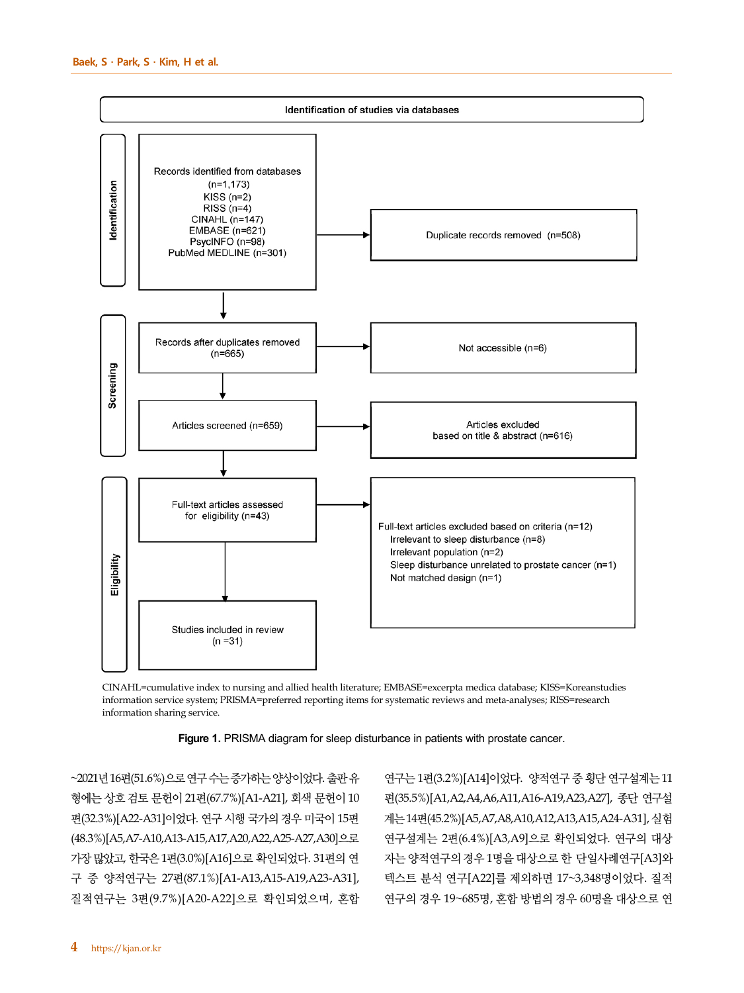

CINAHL=cumulative index to nursing and allied health literature; EMBASE=excerpta medica database; KISS=Koreanstudies information service system; PRISMA=preferred reporting items for systematic reviews and meta-analyses; RISS=research information sharing service.



~2021년 16편(51.6%)으로 연구 수는 증가하는 양상이었다. 출판 유 형에는 상호 검토 문헌이 21편(67.7%)[A1-A21], 회색 문헌이 10 편(32.3%)[A22-A31]이었다. 연구 시행 국가의 경우 미국이 15편 (48.3%)[A5,A7-A10,A13-A15,A17,A20,A22,A25-A27,A30]으로 가장 많았고, 한국은 1편(3.0%)[A16]으로 확인되었다. 31편의 연 구 중 양적연구는 27편(87.1%)[A1-A13,A15-A19,A23-A31], 질적연구는 3편(9.7%)[A20-A22]으로 확인되었으며, 혼합

연구는 1편(3.2%)[A14]이었다. 양적연구 중횡단 연구설계는 11 편(35.5%)[A1,A2,A4,A6,A11,A16-A19,A23,A27], 종단 연구설 계는 14편(45.2%)[A5,A7,A8,A10,A12,A13,A15,A24-A31], 실험 연구설계는 2편(6.4%)[A3,A9]으로 확인되었다. 연구의 대상 자는 양적연구의 경우 1명을 대상으로 한 단일사례연구[A3]와 텍스트 분석 연구[A22]를 제외하면 17~3,348명이었다. 질적 연구의 경우 19~685명, 혼합 방법의 경우 60명을 대상으로 연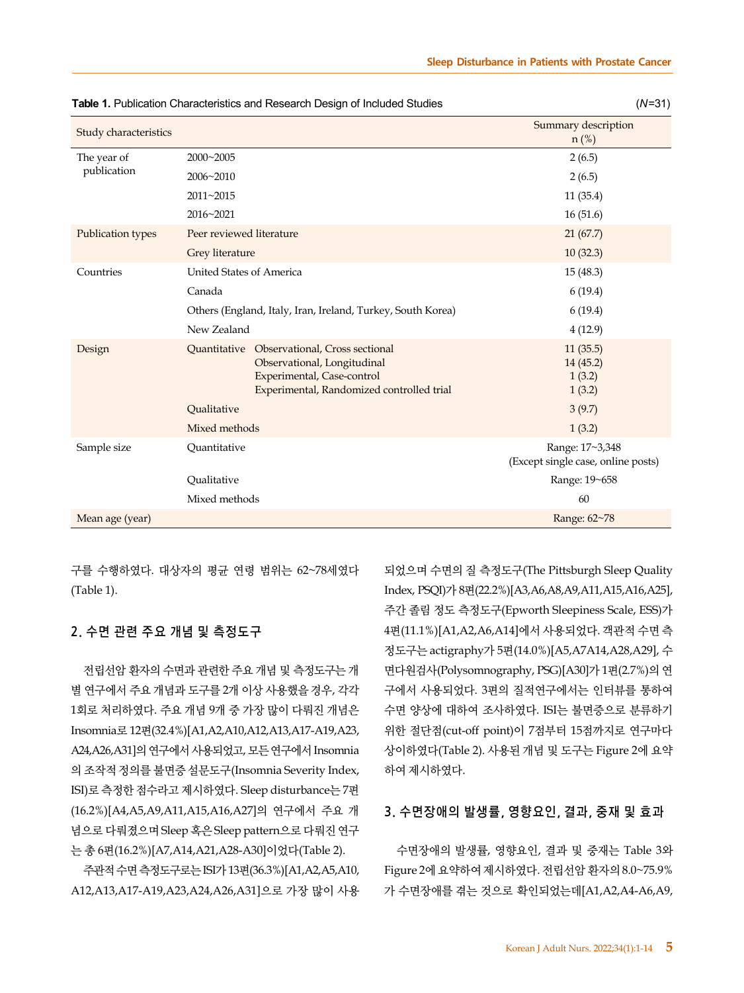|                            |                          | <b>Table 1. Publication Characteristics and Research Design of Included Studies</b>                                                                          | $(N=31)$                                              |
|----------------------------|--------------------------|--------------------------------------------------------------------------------------------------------------------------------------------------------------|-------------------------------------------------------|
| Study characteristics      |                          |                                                                                                                                                              | Summary description<br>$n$ (%)                        |
| The year of<br>publication | 2000~2005                |                                                                                                                                                              | 2(6.5)                                                |
|                            | 2006~2010                |                                                                                                                                                              | 2(6.5)                                                |
|                            | 2011~2015                |                                                                                                                                                              | 11(35.4)                                              |
|                            | 2016~2021                |                                                                                                                                                              | 16(51.6)                                              |
| <b>Publication types</b>   | Peer reviewed literature |                                                                                                                                                              | 21(67.7)                                              |
|                            | Grey literature          |                                                                                                                                                              | 10(32.3)                                              |
| Countries                  | United States of America |                                                                                                                                                              | 15(48.3)                                              |
|                            | Canada                   |                                                                                                                                                              | 6(19.4)                                               |
|                            |                          | Others (England, Italy, Iran, Ireland, Turkey, South Korea)                                                                                                  | 6(19.4)                                               |
|                            | New Zealand              |                                                                                                                                                              | 4(12.9)                                               |
| Design                     |                          | <b>Ouantitative</b> Observational, Cross sectional<br>Observational, Longitudinal<br>Experimental, Case-control<br>Experimental, Randomized controlled trial | 11(35.5)<br>14(45.2)<br>1(3.2)<br>1(3.2)              |
|                            | Oualitative              |                                                                                                                                                              | 3(9.7)                                                |
|                            | Mixed methods            |                                                                                                                                                              | 1(3.2)                                                |
| Sample size                | Quantitative             |                                                                                                                                                              | Range: 17~3,348<br>(Except single case, online posts) |
|                            | Qualitative              |                                                                                                                                                              | Range: 19~658                                         |
|                            | Mixed methods            |                                                                                                                                                              | 60                                                    |
| Mean age (year)            |                          |                                                                                                                                                              | Range: 62~78                                          |

구를 수행하였다. 대상자의 평균 연령 범위는 62~78세였다 (Table 1).

# **2.** 수면 관련 주요 개념 및 측정도구

전립선암 환자의 수면과 관련한 주요 개념 및 측정도구는 개 별 연구에서 주요 개념과 도구를 2개 이상 사용했을 경우, 각각 1회로 처리하였다. 주요 개념 9개 중 가장 많이 다뤄진 개념은 Insomnia로 12편(32.4%)[A1,A2,A10,A12,A13,A17-A19,A23, A24,A26,A31]의 연구에서 사용되었고, 모든 연구에서 Insomnia 의 조작적 정의를 불면증 설문도구(Insomnia Severity Index, ISI)로 측정한 점수라고 제시하였다. Sleep disturbance는 7편 (16.2%)[A4,A5,A9,A11,A15,A16,A27]의 연구에서 주요 개 념으로 다뤄졌으며 Sleep 혹은 Sleep pattern으로 다뤄진 연구 는 총 6편(16.2%)[A7,A14,A21,A28-A30]이었다(Table 2).

주관적 수면 측정도구로는 ISI가 13편(36.3%)[A1,A2,A5,A10, A12,A13,A17-A19,A23,A24,A26,A31]으로 가장 많이 사용 되었으며 수면의 질 측정도구(The Pittsburgh Sleep Quality Index, PSQI)가 8편(22.2%)[A3,A6,A8,A9,A11,A15,A16,A25], 주간 졸림 정도 측정도구(Epworth Sleepiness Scale, ESS)가 4편(11.1%)[A1,A2,A6,A14]에서 사용되었다. 객관적 수면 측 정도구는 actigraphy가 5편(14.0%)[A5,A7A14,A28,A29], 수 면다원검사(Polysomnography, PSG)[A30]가 1편(2.7%)의 연 구에서 사용되었다. 3편의 질적연구에서는 인터뷰를 통하여 수면 양상에 대하여 조사하였다. ISI는 불면증으로 분류하기 위한 절단점(cut-off point)이 7점부터 15점까지로 연구마다 상이하였다(Table 2). 사용된 개념 및 도구는 Figure 2에 요약 하여 제시하였다.

# **3.** 수면장애의 발생률**,** 영향요인**,** 결과**,** 중재 및 효과

수면장애의 발생률, 영향요인, 결과 및 중재는 Table 3와 Figure 2에 요약하여 제시하였다. 전립선암 환자의 8.0~75.9% 가 수면장애를 겪는 것으로 확인되었는데[A1,A2,A4-A6,A9,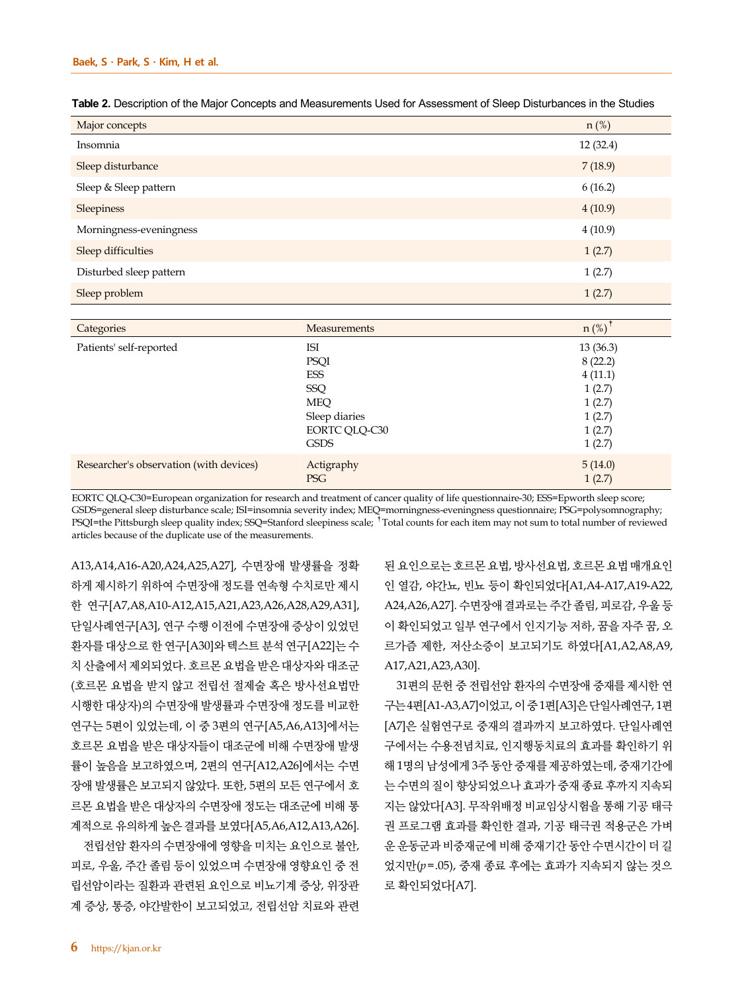| Major concepts          | $n$ (%)  |
|-------------------------|----------|
| Insomnia                | 12(32.4) |
| Sleep disturbance       | 7(18.9)  |
| Sleep & Sleep pattern   | 6(16.2)  |
| Sleepiness              | 4(10.9)  |
| Morningness-eveningness | 4(10.9)  |
| Sleep difficulties      | 1(2.7)   |
| Disturbed sleep pattern | 1(2.7)   |
| Sleep problem           | 1(2.7)   |

| Table 2. Description of the Maior Concepts and Measurements Used for Assessment of Sleep Disturbances in the Studies |  |
|----------------------------------------------------------------------------------------------------------------------|--|
|----------------------------------------------------------------------------------------------------------------------|--|

| Categories                              | Measurements  | $n$ (%)  |
|-----------------------------------------|---------------|----------|
| Patients' self-reported                 | ISI           | 13(36.3) |
|                                         | <b>PSQI</b>   | 8(22.2)  |
|                                         | ESS           | 4(11.1)  |
|                                         | SSQ           | 1(2.7)   |
|                                         | <b>MEQ</b>    | 1(2.7)   |
|                                         | Sleep diaries | 1(2.7)   |
|                                         | EORTC QLQ-C30 | 1(2.7)   |
|                                         | <b>GSDS</b>   | 1(2.7)   |
| Researcher's observation (with devices) | Actigraphy    | 5(14.0)  |
|                                         | <b>PSG</b>    | 1(2.7)   |

EORTC QLQ-C30=European organization for research and treatment of cancer quality of life questionnaire-30; ESS=Epworth sleep score; GSDS=general sleep disturbance scale; ISI=insomnia severity index; MEQ=morningness-eveningness questionnaire; PSG=polysomnography; PSQI=the Pittsburgh sleep quality index; SSQ=Stanford sleepiness scale; <sup>†</sup>Total counts for each item may not sum to total number of reviewed articles because of the duplicate use of the measurements.

A13,A14,A16-A20,A24,A25,A27], 수면장애 발생률을 정확 하게 제시하기 위하여 수면장애 정도를 연속형 수치로만 제시 한 연구[A7,A8,A10-A12,A15,A21,A23,A26,A28,A29,A31], 단일사례연구[A3], 연구 수행 이전에 수면장애 증상이 있었던 환자를 대상으로 한 연구[A30]와 텍스트 분석 연구[A22]는 수 치 산출에서 제외되었다. 호르몬 요법을 받은 대상자와 대조군 (호르몬 요법을 받지 않고 전립선 절제술 혹은 방사선요법만 시행한 대상자)의 수면장애 발생률과 수면장애 정도를 비교한 연구는 5편이 있었는데, 이 중 3편의 연구[A5,A6,A13]에서는 호르몬 요법을 받은 대상자들이 대조군에 비해 수면장애 발생 률이 높음을 보고하였으며, 2편의 연구[A12,A26]에서는 수면 장애 발생률은 보고되지 않았다. 또한, 5편의 모든 연구에서 호 르몬 요법을 받은 대상자의 수면장애 정도는 대조군에 비해 통 계적으로 유의하게 높은 결과를 보였다[A5,A6,A12,A13,A26].

전립선암 환자의 수면장애에 영향을 미치는 요인으로 불안, 피로, 우울, 주간 졸림 등이 있었으며 수면장애 영향요인 중 전 립선암이라는 질환과 관련된 요인으로 비뇨기계 증상, 위장관 계 증상, 통증, 야간발한이 보고되었고, 전립선암 치료와 관련 된 요인으로는 호르몬 요법, 방사선요법, 호르몬 요법 매개요인 인 열감, 야간뇨, 빈뇨 등이 확인되었다[A1,A4-A17,A19-A22, A24,A26,A27]. 수면장애 결과로는 주간 졸림, 피로감, 우울 등 이 확인되었고 일부 연구에서 인지기능 저하, 꿈을 자주 꿈, 오 르가즘 제한, 저산소증이 보고되기도 하였다[A1,A2,A8,A9, A17,A21,A23,A30].

31편의 문헌 중 전립선암 환자의 수면장애 중재를 제시한 연 구는 4편[A1-A3,A7]이었고, 이 중 1편[A3]은 단일사례연구, 1편 [A7]은 실험연구로 중재의 결과까지 보고하였다. 단일사례연 구에서는 수용전념치료, 인지행동치료의 효과를 확인하기 위 해 1명의 남성에게 3주 동안 중재를 제공하였는데, 중재기간에 는 수면의 질이 향상되었으나 효과가 중재 종료 후까지 지속되 지는 않았다[A3]. 무작위배정 비교임상시험을 통해 기공 태극 권 프로그램 효과를 확인한 결과, 기공 태극권 적용군은 가벼 운 운동군과 비중재군에 비해 중재기간 동안 수면시간이 더 길 었지만(*p*=.05), 중재 종료 후에는 효과가 지속되지 않는 것으 로 확인되었다[A7].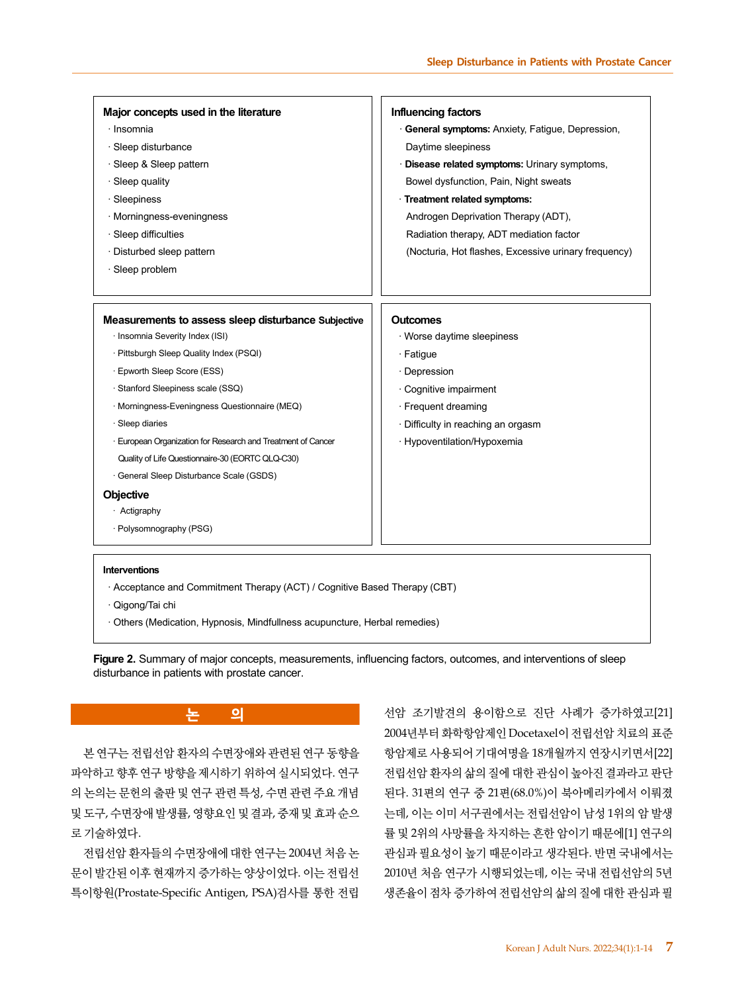| Major concepts used in the literature<br>· Insomnia                        | Influencing factors<br>General symptoms: Anxiety, Fatigue, Depression, |
|----------------------------------------------------------------------------|------------------------------------------------------------------------|
| · Sleep disturbance                                                        | Daytime sleepiness                                                     |
| · Sleep & Sleep pattern                                                    | · Disease related symptoms: Urinary symptoms,                          |
| $\cdot$ Sleep quality                                                      | Bowel dysfunction, Pain, Night sweats                                  |
| · Sleepiness                                                               | · Treatment related symptoms:                                          |
| · Morningness-eveningness                                                  | Androgen Deprivation Therapy (ADT),                                    |
| · Sleep difficulties                                                       | Radiation therapy, ADT mediation factor                                |
| · Disturbed sleep pattern                                                  | (Nocturia, Hot flashes, Excessive urinary frequency)                   |
| · Sleep problem                                                            |                                                                        |
|                                                                            |                                                                        |
|                                                                            |                                                                        |
| Measurements to assess sleep disturbance Subjective                        | <b>Outcomes</b>                                                        |
| · Insomnia Severity Index (ISI)                                            | · Worse daytime sleepiness                                             |
| · Pittsburgh Sleep Quality Index (PSQI)                                    | · Fatigue                                                              |
| · Epworth Sleep Score (ESS)                                                | · Depression                                                           |
| · Stanford Sleepiness scale (SSQ)                                          | · Cognitive impairment                                                 |
| · Morningness-Eveningness Questionnaire (MEQ)                              | · Frequent dreaming                                                    |
| · Sleep diaries                                                            | · Difficulty in reaching an orgasm                                     |
| · European Organization for Research and Treatment of Cancer               | · Hypoventilation/Hypoxemia                                            |
| Quality of Life Questionnaire-30 (EORTC QLQ-C30)                           |                                                                        |
| · General Sleep Disturbance Scale (GSDS)                                   |                                                                        |
| Objective                                                                  |                                                                        |
| · Actigraphy                                                               |                                                                        |
| · Polysomnography (PSG)                                                    |                                                                        |
|                                                                            |                                                                        |
| <b>Interventions</b>                                                       |                                                                        |
| . Acceptance and Commitment Therapy (ACT) / Cognitive Based Therapy (CBT)  |                                                                        |
| · Qigong/Tai chi                                                           |                                                                        |
| · Others (Medication, Hypnosis, Mindfullness acupuncture, Herbal remedies) |                                                                        |

**Figure 2.** Summary of major concepts, measurements, influencing factors, outcomes, and interventions of sleep disturbance in patients with prostate cancer.

본 연구는 전립선암 환자의 수면장애와 관련된 연구 동향을 파악하고 향후 연구 방향을 제시하기 위하여 실시되었다. 연구 의 논의는 문헌의 출판 및 연구 관련 특성, 수면 관련 주요 개념 및 도구, 수면장애 발생률, 영향요인 및 결과, 중재 및 효과 순으 로 기술하였다.

**논 의**

전립선암 환자들의 수면장애에 대한 연구는 2004년 처음 논 문이 발간된 이후 현재까지 증가하는 양상이었다. 이는 전립선 특이항원(Prostate-Specific Antigen, PSA)검사를 통한 전립

선암 조기발견의 용이함으로 진단 사례가 증가하였고[21] 2004년부터 화학항암제인 Docetaxel이 전립선암 치료의 표준 항암제로 사용되어 기대여명을 18개월까지 연장시키면서[22] 전립선암 환자의 삶의 질에 대한 관심이 높아진 결과라고 판단 된다. 31편의 연구 중 21편(68.0%)이 북아메리카에서 이뤄졌 는데, 이는 이미 서구권에서는 전립선암이 남성 1위의 암 발생 률 및 2위의 사망률을 차지하는 흔한 암이기 때문에[1] 연구의 관심과 필요성이 높기 때문이라고 생각된다. 반면 국내에서는 2010년 처음 연구가 시행되었는데, 이는 국내 전립선암의 5년 생존율이 점차 증가하여 전립선암의 삶의 질에 대한 관심과 필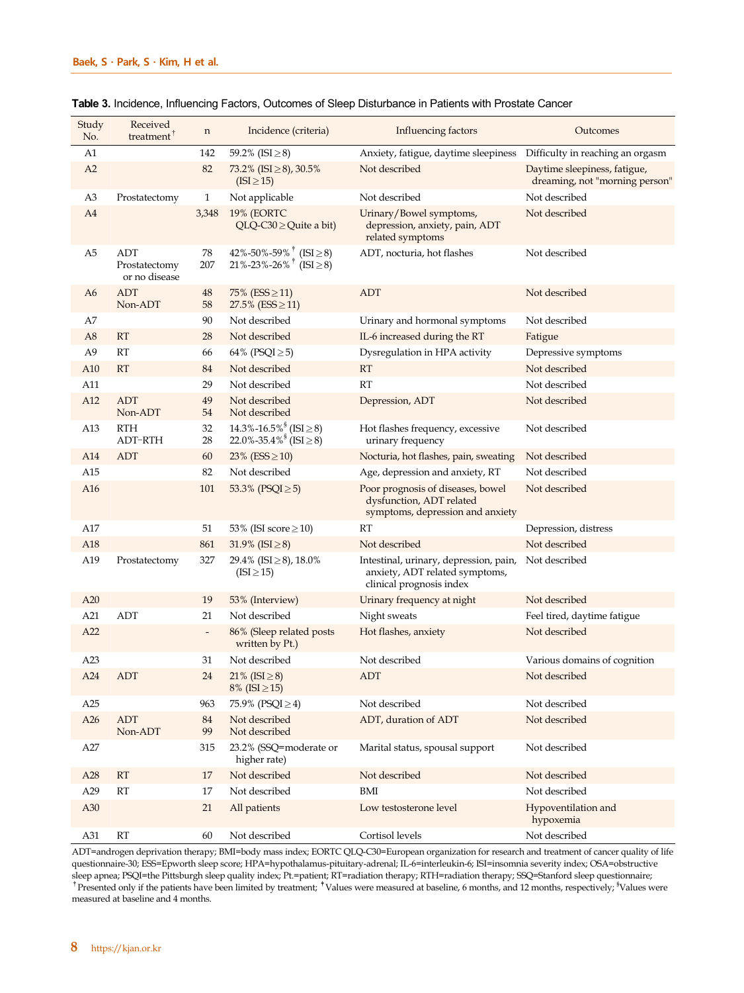| Study<br>No.    | Received<br>treatment <sup>T</sup>    | n                        | Incidence (criteria)                                                                                                | Influencing factors                                                                                  | Outcomes                                                       |
|-----------------|---------------------------------------|--------------------------|---------------------------------------------------------------------------------------------------------------------|------------------------------------------------------------------------------------------------------|----------------------------------------------------------------|
| A1              |                                       | 142                      | 59.2% (ISI $\geq$ 8)                                                                                                | Anxiety, fatigue, daytime sleepiness                                                                 | Difficulty in reaching an orgasm                               |
| A2              |                                       | 82                       | 73.2% (ISI $\geq$ 8), 30.5%<br>$(ISI \geq 15)$                                                                      | Not described                                                                                        | Daytime sleepiness, fatigue,<br>dreaming, not "morning person" |
| A <sub>3</sub>  | Prostatectomy                         | $\mathbf{1}$             | Not applicable                                                                                                      | Not described                                                                                        | Not described                                                  |
| A4              |                                       | 3,348                    | 19% (EORTC<br>$QLQ-C30 \geq Quite$ a bit)                                                                           | Urinary/Bowel symptoms,<br>depression, anxiety, pain, ADT<br>related symptoms                        | Not described                                                  |
| A5              | ADT<br>Prostatectomy<br>or no disease | 78<br>207                | 42%-50%-59% <sup><math>\uparrow</math></sup> (ISI $\geq$ 8)<br>$21\% - 23\% - 26\% + \widehat{(\text{ISI} \geq 8)}$ | ADT, nocturia, hot flashes                                                                           | Not described                                                  |
| A6              | <b>ADT</b><br>Non-ADT                 | 48<br>58                 | 75% ( $ESS \ge 11$ )<br>27.5% ( $ESS \ge 11$ )                                                                      | <b>ADT</b>                                                                                           | Not described                                                  |
| А7              |                                       | 90                       | Not described                                                                                                       | Urinary and hormonal symptoms                                                                        | Not described                                                  |
| A8              | <b>RT</b>                             | 28                       | Not described                                                                                                       | IL-6 increased during the RT                                                                         | Fatigue                                                        |
| A9              | <b>RT</b>                             | 66                       | 64% (PSQI $\ge$ 5)                                                                                                  | Dysregulation in HPA activity                                                                        | Depressive symptoms                                            |
| A10             | <b>RT</b>                             | 84                       | Not described                                                                                                       | $\mathbf{RT}$                                                                                        | Not described                                                  |
| A11             |                                       | 29                       | Not described                                                                                                       | RT                                                                                                   | Not described                                                  |
| A12             | <b>ADT</b><br>Non-ADT                 | 49<br>54                 | Not described<br>Not described                                                                                      | Depression, ADT                                                                                      | Not described                                                  |
| A13             | <b>RTH</b><br>ADT-RTH                 | 32<br>28                 | $14.3\% - 16.5\%$ <sup>§</sup> (ISI $\geq$ 8)<br>22.0%-35.4% ( $\text{ISI} \geq 8$ )                                | Hot flashes frequency, excessive<br>urinary frequency                                                | Not described                                                  |
| A14             | ADT                                   | 60                       | 23% (ESS $\geq$ 10)                                                                                                 | Nocturia, hot flashes, pain, sweating                                                                | Not described                                                  |
| A15             |                                       | 82                       | Not described                                                                                                       | Age, depression and anxiety, RT                                                                      | Not described                                                  |
| A16             |                                       | 101                      | 53.3% (PSQI $\ge$ 5)                                                                                                | Poor prognosis of diseases, bowel<br>dysfunction, ADT related<br>symptoms, depression and anxiety    | Not described                                                  |
| A17             |                                       | 51                       | 53% (ISI score $\geq$ 10)                                                                                           | <b>RT</b>                                                                                            | Depression, distress                                           |
| A <sub>18</sub> |                                       | 861                      | 31.9% (ISI $\geq$ 8)                                                                                                | Not described                                                                                        | Not described                                                  |
| A19             | Prostatectomy                         | 327                      | 29.4% (ISI $\geq$ 8), 18.0%<br>$(ISI \ge 15)$                                                                       | Intestinal, urinary, depression, pain,<br>anxiety, ADT related symptoms,<br>clinical prognosis index | Not described                                                  |
| A20             |                                       | 19                       | 53% (Interview)                                                                                                     | Urinary frequency at night                                                                           | Not described                                                  |
| A21             | ADT                                   | 21                       | Not described                                                                                                       | Night sweats                                                                                         | Feel tired, daytime fatigue                                    |
| A22             |                                       | $\overline{\phantom{a}}$ | 86% (Sleep related posts<br>written by Pt.)                                                                         | Hot flashes, anxiety                                                                                 | Not described                                                  |
| A23             |                                       | 31                       | Not described                                                                                                       | Not described                                                                                        | Various domains of cognition                                   |
| A24             | <b>ADT</b>                            | 24                       | 21% (ISI $\geq$ 8)<br>$8\%$ (ISI $\geq$ 15)                                                                         | ADT                                                                                                  | Not described                                                  |
| A25             |                                       | 963                      | 75.9% (PSQI $\geq$ 4)                                                                                               | Not described                                                                                        | Not described                                                  |
| A26             | <b>ADT</b><br>Non-ADT                 | 84<br>99                 | Not described<br>Not described                                                                                      | ADT, duration of ADT                                                                                 | Not described                                                  |
| A27             |                                       | 315                      | 23.2% (SSQ=moderate or<br>higher rate)                                                                              | Marital status, spousal support                                                                      | Not described                                                  |
| A28             | RT                                    | 17                       | Not described                                                                                                       | Not described                                                                                        | Not described                                                  |
| A29             | <b>RT</b>                             | 17                       | Not described                                                                                                       | <b>BMI</b>                                                                                           | Not described                                                  |
| A30             |                                       | 21                       | All patients                                                                                                        | Low testosterone level                                                                               | Hypoventilation and<br>hypoxemia                               |
| A31             | RT                                    | 60                       | Not described                                                                                                       | Cortisol levels                                                                                      | Not described                                                  |

|  |  | Table 3. Incidence, Influencing Factors, Outcomes of Sleep Disturbance in Patients with Prostate Cancer |
|--|--|---------------------------------------------------------------------------------------------------------|
|--|--|---------------------------------------------------------------------------------------------------------|

ADT=androgen deprivation therapy; BMI=body mass index; EORTC QLQ-C30=European organization for research and treatment of cancer quality of life questionnaire-30; ESS=Epworth sleep score; HPA=hypothalamus-pituitary-adrenal; IL-6=interleukin-6; ISI=insomnia severity index; OSA=obstructive sleep apnea; PSQI=the Pittsburgh sleep quality index; Pt.=patient; RT=radiation therapy; RTH=radiation therapy; SSQ=Stanford sleep questionnaire;<br><sup>†</sup>Presented only if the patients have been limited by treatment; <sup>†</sup>Values measured at baseline and 4 months.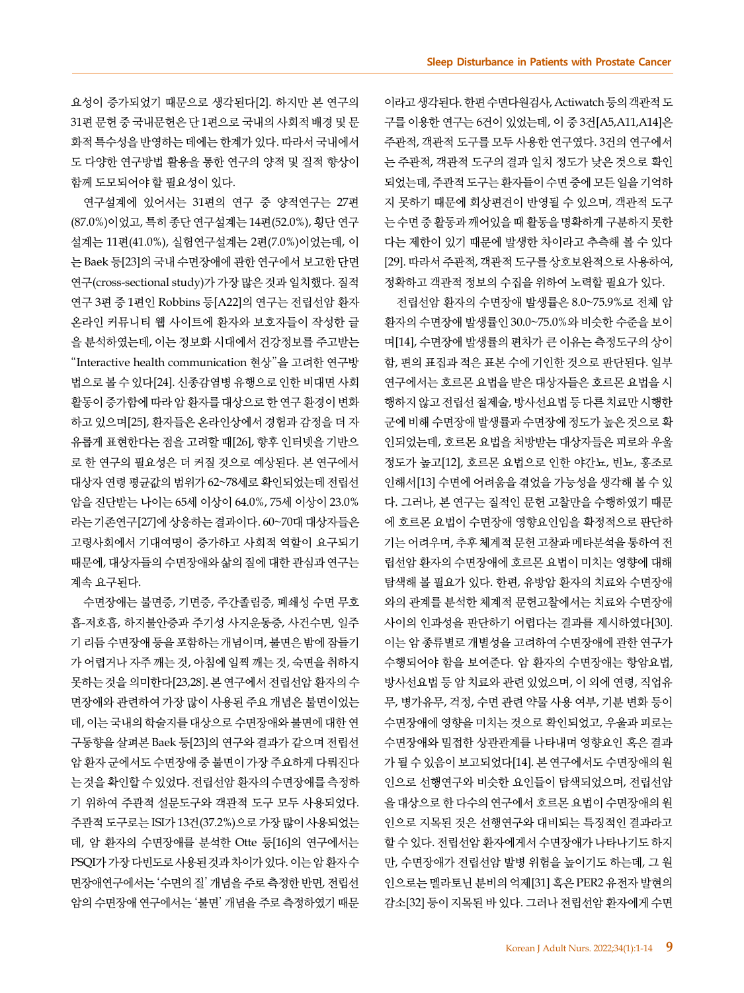요성이 증가되었기 때문으로 생각된다[2]. 하지만 본 연구의 31편 문헌 중 국내문헌은 단 1편으로 국내의 사회적 배경 및 문 화적 특수성을 반영하는 데에는 한계가 있다. 따라서 국내에서 도 다양한 연구방법 활용을 통한 연구의 양적 및 질적 향상이 함께 도모되어야 할 필요성이 있다.

연구설계에 있어서는 31편의 연구 중 양적연구는 27편 (87.0%)이었고, 특히 종단 연구설계는 14편(52.0%), 횡단 연구 설계는 11편(41.0%), 실험연구설계는 2편(7.0%)이었는데, 이 는 Baek 등[23]의 국내 수면장애에 관한 연구에서 보고한 단면 연구(cross-sectional study)가 가장 많은 것과 일치했다. 질적 연구 3편 중 1편인 Robbins 등[A22]의 연구는 전립선암 환자 온라인 커뮤니티 웹 사이트에 환자와 보호자들이 작성한 글 을 분석하였는데, 이는 정보화 시대에서 건강정보를 주고받는 "Interactive health communication 현상"을 고려한 연구방 법으로 볼 수 있다[24]. 신종감염병 유행으로 인한 비대면 사회 활동이 증가함에 따라 암 환자를 대상으로 한 연구 환경이 변화 하고 있으며[25], 환자들은 온라인상에서 경험과 감정을 더 자 유롭게 표현한다는 점을 고려할 때[26], 향후 인터넷을 기반으 로 한 연구의 필요성은 더 커질 것으로 예상된다. 본 연구에서 대상자 연령 평균값의 범위가 62~78세로 확인되었는데 전립선 암을 진단받는 나이는 65세 이상이 64.0%, 75세 이상이 23.0% 라는기존연구[27]에 상응하는 결과이다. 60~70대 대상자들은 고령사회에서 기대여명이 증가하고 사회적 역할이 요구되기 때문에, 대상자들의 수면장애와 삶의 질에 대한 관심과 연구는 계속 요구된다.

수면장애는 불면증, 기면증, 주간졸림증, 폐쇄성 수면 무호 흡-저호흡, 하지불안증과 주기성 사지운동증, 사건수면, 일주 기 리듬 수면장애 등을 포함하는 개념이며, 불면은 밤에 잠들기 가 어렵거나 자주 깨는 것, 아침에 일찍 깨는 것, 숙면을 취하지 못하는 것을 의미한다[23,28]. 본 연구에서 전립선암 환자의 수 면장애와 관련하여 가장 많이 사용된 주요 개념은 불면이었는 데, 이는 국내의 학술지를 대상으로 수면장애와 불면에 대한 연 구동향을 살펴본 Baek 등[23]의 연구와 결과가 같으며 전립선 암 환자 군에서도 수면장애 중 불면이 가장 주요하게 다뤄진다 는 것을 확인할 수 있었다. 전립선암 환자의 수면장애를 측정하 기 위하여 주관적 설문도구와 객관적 도구 모두 사용되었다. 주관적 도구로는 ISI가 13건(37.2%)으로 가장 많이 사용되었는 데, 암 환자의 수면장애를 분석한 Otte 등[16]의 연구에서는 PSQI가 가장다빈도로 사용된 것과 차이가 있다. 이는 암 환자 수 면장애연구에서는 '수면의 질' 개념을 주로 측정한 반면, 전립선 암의 수면장애 연구에서는 '불면' 개념을 주로 측정하였기 때문

이라고 생각된다. 한편 수면다원검사, Actiwatch 등의 객관적 도 구를 이용한 연구는 6건이 있었는데, 이 중 3건[A5,A11,A14]은 주관적, 객관적 도구를 모두 사용한 연구였다. 3건의 연구에서 는 주관적, 객관적 도구의 결과 일치 정도가 낮은 것으로 확인 되었는데, 주관적 도구는 환자들이 수면 중에 모든 일을 기억하 지 못하기 때문에 회상편견이 반영될 수 있으며, 객관적 도구 는 수면 중 활동과 깨어있을 때 활동을 명확하게 구분하지 못한 다는 제한이 있기 때문에 발생한 차이라고 추측해 볼 수 있다 [29]. 따라서 주관적, 객관적 도구를 상호보완적으로 사용하여, 정확하고 객관적 정보의 수집을 위하여 노력할 필요가 있다.

전립선암 환자의 수면장애 발생률은 8.0~75.9%로 전체 암 환자의 수면장애 발생률인 30.0~75.0%와 비슷한 수준을 보이 며[14], 수면장애 발생률의 편차가 큰 이유는 측정도구의 상이 함, 편의 표집과 적은 표본 수에 기인한 것으로 판단된다. 일부 연구에서는 호르몬 요법을 받은 대상자들은 호르몬 요법을 시 행하지 않고 전립선 절제술, 방사선요법 등 다른 치료만 시행한 군에 비해 수면장애 발생률과 수면장애 정도가 높은 것으로 확 인되었는데, 호르몬 요법을 처방받는 대상자들은 피로와 우울 정도가 높고[12], 호르몬 요법으로 인한 야간뇨, 빈뇨, 홍조로 인해서[13] 수면에 어려움을 겪었을 가능성을 생각해 볼 수 있 다. 그러나, 본 연구는 질적인 문헌 고찰만을 수행하였기 때문 에 호르몬 요법이 수면장애 영향요인임을 확정적으로 판단하 기는 어려우며, 추후 체계적 문헌 고찰과 메타분석을 통하여 전 립선암 환자의 수면장애에 호르몬 요법이 미치는 영향에 대해 탐색해 볼 필요가 있다. 한편, 유방암 환자의 치료와 수면장애 와의 관계를 분석한 체계적 문헌고찰에서는 치료와 수면장애 사이의 인과성을 판단하기 어렵다는 결과를 제시하였다[30]. 이는 암 종류별로 개별성을 고려하여 수면장애에 관한 연구가 수행되어야 함을 보여준다. 암 환자의 수면장애는 항암요법, 방사선요법 등 암 치료와 관련 있었으며, 이 외에 연령, 직업유 무, 병가유무, 걱정, 수면 관련 약물 사용 여부, 기분 변화 등이 수면장애에 영향을 미치는 것으로 확인되었고, 우울과 피로는 수면장애와 밀접한 상관관계를 나타내며 영향요인 혹은 결과 가 될 수 있음이 보고되었다[14]. 본 연구에서도 수면장애의 원 인으로 선행연구와 비슷한 요인들이 탐색되었으며, 전립선암 을 대상으로 한 다수의 연구에서 호르몬 요법이 수면장애의 원 인으로 지목된 것은 선행연구와 대비되는 특징적인 결과라고 할 수 있다. 전립선암 환자에게서 수면장애가 나타나기도 하지 만, 수면장애가 전립선암 발병 위험을 높이기도 하는데, 그 원 인으로는 멜라토닌 분비의 억제[31] 혹은 PER2 유전자 발현의 감소[32] 등이 지목된 바 있다. 그러나 전립선암 환자에게 수면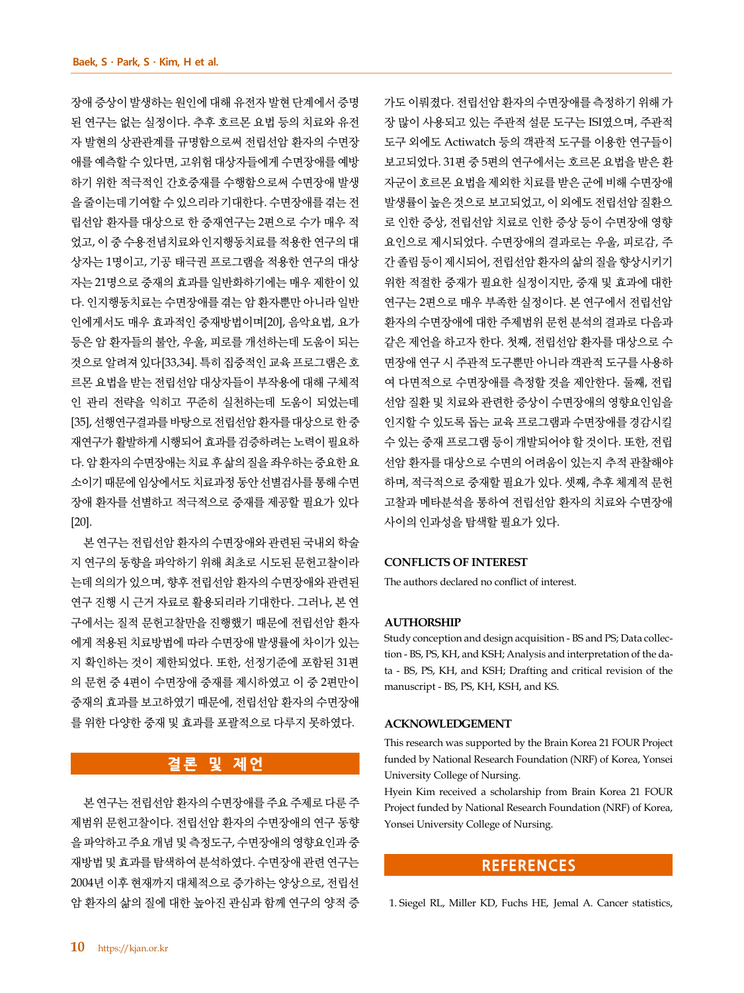장애 증상이 발생하는 원인에 대해 유전자 발현 단계에서 증명 된 연구는 없는 실정이다. 추후 호르몬 요법 등의 치료와 유전 자 발현의 상관관계를 규명함으로써 전립선암 환자의 수면장 애를 예측할 수 있다면, 고위험 대상자들에게 수면장애를 예방 하기 위한 적극적인 간호중재를 수행함으로써 수면장애 발생 을 줄이는데 기여할 수 있으리라 기대한다. 수면장애를 겪는 전 립선암 환자를 대상으로 한 중재연구는 2편으로 수가 매우 적 었고, 이 중 수용전념치료와 인지행동치료를 적용한 연구의 대 상자는 1명이고, 기공 태극권 프로그램을 적용한 연구의 대상 자는 21명으로 중재의 효과를 일반화하기에는 매우 제한이 있 다. 인지행동치료는 수면장애를 겪는 암 환자뿐만 아니라 일반 인에게서도 매우 효과적인 중재방법이며[20], 음악요법, 요가 등은 암 환자들의 불안, 우울, 피로를 개선하는데 도움이 되는 것으로 알려져 있다[33,34]. 특히 집중적인 교육 프로그램은 호 르몬 요법을 받는 전립선암 대상자들이 부작용에 대해 구체적 인 관리 전략을 익히고 꾸준히 실천하는데 도움이 되었는데 [35], 선행연구결과를 바탕으로 전립선암 환자를 대상으로 한 중 재연구가 활발하게 시행되어 효과를 검증하려는 노력이 필요하 다. 암 환자의 수면장애는 치료 후 삶의 질을 좌우하는 중요한 요 소이기 때문에 임상에서도 치료과정 동안 선별검사를 통해 수면 장애 환자를 선별하고 적극적으로 중재를 제공할 필요가 있다 [20].

본 연구는 전립선암 환자의 수면장애와 관련된 국내외 학술 지 연구의 동향을 파악하기 위해 최초로 시도된 문헌고찰이라 는데 의의가 있으며, 향후 전립선암 환자의 수면장애와 관련된 연구 진행 시 근거 자료로 활용되리라 기대한다. 그러나, 본 연 구에서는 질적 문헌고찰만을 진행했기 때문에 전립선암 환자 에게 적용된 치료방법에 따라 수면장애 발생률에 차이가 있는 지 확인하는 것이 제한되었다. 또한, 선정기준에 포함된 31편 의 문헌 중 4편이 수면장애 중재를 제시하였고 이 중 2편만이 중재의 효과를 보고하였기 때문에, 전립선암 환자의 수면장애 를 위한 다양한 중재 및 효과를 포괄적으로 다루지 못하였다.

# **결론 및 제언**

본 연구는 전립선암 환자의 수면장애를 주요 주제로 다룬 주 제범위 문헌고찰이다. 전립선암 환자의 수면장애의 연구 동향 을 파악하고 주요 개념 및 측정도구, 수면장애의 영향요인과 중 재방법 및 효과를 탐색하여 분석하였다. 수면장애 관련 연구는 2004년 이후 현재까지 대체적으로 증가하는 양상으로, 전립선 암 환자의 삶의 질에 대한 높아진 관심과 함께 연구의 양적 증 가도 이뤄졌다. 전립선암 환자의 수면장애를 측정하기 위해 가 장 많이 사용되고 있는 주관적 설문 도구는 ISI였으며, 주관적 도구 외에도 Actiwatch 등의 객관적 도구를 이용한 연구들이 보고되었다. 31편 중 5편의 연구에서는 호르몬 요법을 받은 환 자군이 호르몬 요법을 제외한 치료를 받은 군에 비해 수면장애 발생률이 높은 것으로 보고되었고, 이 외에도 전립선암 질환으 로 인한 증상, 전립선암 치료로 인한 증상 등이 수면장애 영향 요인으로 제시되었다. 수면장애의 결과로는 우울, 피로감, 주 간 졸림 등이 제시되어, 전립선암 환자의 삶의 질을 향상시키기 위한 적절한 중재가 필요한 실정이지만, 중재 및 효과에 대한 연구는 2편으로 매우 부족한 실정이다. 본 연구에서 전립선암 환자의 수면장애에 대한 주제범위 문헌 분석의 결과로 다음과 같은 제언을 하고자 한다. 첫째, 전립선암 환자를 대상으로 수 면장애 연구 시 주관적 도구뿐만 아니라 객관적 도구를 사용하 여 다면적으로 수면장애를 측정할 것을 제안한다. 둘째, 전립 선암 질환 및 치료와 관련한 증상이 수면장애의 영향요인임을 인지할 수 있도록 돕는 교육 프로그램과 수면장애를 경감시킬 수 있는 중재 프로그램 등이 개발되어야 할 것이다. 또한, 전립 선암 환자를 대상으로 수면의 어려움이 있는지 추적 관찰해야 하며, 적극적으로 중재할 필요가 있다. 셋째, 추후 체계적 문헌 고찰과 메타분석을 통하여 전립선암 환자의 치료와 수면장애 사이의 인과성을 탐색할 필요가 있다.

#### **CONFLICTS OF INTEREST**

The authors declared no conflict of interest.

#### **AUTHORSHIP**

Study conception and design acquisition - BS and PS; Data collection - BS, PS, KH, and KSH; Analysis and interpretation of the data - BS, PS, KH, and KSH; Drafting and critical revision of the manuscript - BS, PS, KH, KSH, and KS.

#### **ACKNOWLEDGEMENT**

This research was supported by the Brain Korea 21 FOUR Project funded by National Research Foundation (NRF) of Korea, Yonsei University College of Nursing.

Hyein Kim received a scholarship from Brain Korea 21 FOUR Project funded by National Research Foundation (NRF) of Korea, Yonsei University College of Nursing.

# **REFERENCES**

1. Siegel RL, Miller KD, Fuchs HE, Jemal A. Cancer statistics,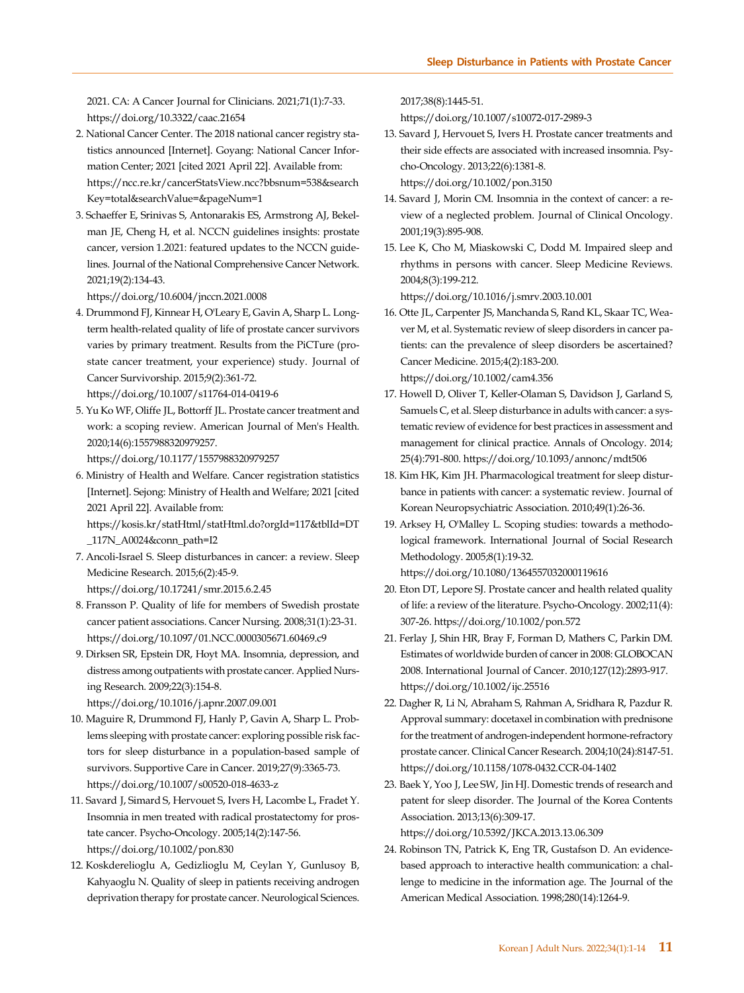2021. CA: A Cancer Journal for Clinicians. 2021;71(1):7-33. https://doi.org/10.3322/caac.21654

- 2. National Cancer Center. The 2018 national cancer registry statistics announced [Internet]. Goyang: National Cancer Information Center; 2021 [cited 2021 April 22]. Available from: [https://ncc.re.kr/cancerStatsView.ncc?bbsnum=538&search](https://ncc.re.kr/cancerStatsView.ncc?bbsnum=538&searchKey=total&searchValue=&pageNum=1) Key=total&searchValue=&pageNum=1
- 3. Schaeffer E, Srinivas S, Antonarakis ES, Armstrong AJ, Bekelman JE, Cheng H, et al. NCCN guidelines insights: prostate cancer, version 1.2021: featured updates to the NCCN guidelines. Journal of the National Comprehensive Cancer Network. 2021;19(2):134-43.

https://doi.org/10.6004/jnccn.2021.0008

4. Drummond FJ, Kinnear H, O'Leary E, Gavin A, Sharp L. Longterm health-related quality of life of prostate cancer survivors varies by primary treatment. Results from the PiCTure (prostate cancer treatment, your experience) study. Journal of Cancer Survivorship. 2015;9(2):361-72.

https://doi.org/10.1007/s11764-014-0419-6

5. Yu Ko WF, Oliffe JL, Bottorff JL. Prostate cancer treatment and work: a scoping review. American Journal of Men's Health. 2020;14(6):1557988320979257.

https://doi.org/10.1177/1557988320979257

6. Ministry of Health and Welfare. Cancer registration statistics [Internet]. Sejong: Ministry of Health and Welfare; 2021 [cited 2021 April 22]. Available from:

[https://kosis.kr/statHtml/statHtml.do?orgId=117&tblId=DT](https://kosis.kr/statHtml/statHtml.do?orgId=117&tblId=DT_117N_A0024&conn_path=I2) \_117N\_A0024&conn\_path=I2

- 7. Ancoli-Israel S. Sleep disturbances in cancer: a review. Sleep Medicine Research. 2015;6(2):45-9.
	- https://doi.org/10.17241/smr.2015.6.2.45
- 8. Fransson P. Quality of life for members of Swedish prostate cancer patient associations. Cancer Nursing. 2008;31(1):23-31. https://doi.org/10.1097/01.NCC.0000305671.60469.c9
- 9. Dirksen SR, Epstein DR, Hoyt MA. Insomnia, depression, and distress among outpatients with prostate cancer. Applied Nursing Research. 2009;22(3):154-8.

https://doi.org/10.1016/j.apnr.2007.09.001

- 10. Maguire R, Drummond FJ, Hanly P, Gavin A, Sharp L. Problems sleeping with prostate cancer: exploring possible risk factors for sleep disturbance in a population-based sample of survivors. Supportive Care in Cancer. 2019;27(9):3365-73. https://doi.org/10.1007/s00520-018-4633-z
- 11. Savard J, Simard S, Hervouet S, Ivers H, Lacombe L, Fradet Y. Insomnia in men treated with radical prostatectomy for prostate cancer. Psycho-Oncology. 2005;14(2):147-56. https://doi.org/10.1002/pon.830
- 12. Koskderelioglu A, Gedizlioglu M, Ceylan Y, Gunlusoy B, Kahyaoglu N. Quality of sleep in patients receiving androgen deprivation therapy for prostate cancer. Neurological Sciences.

2017;38(8):1445-51.

https://doi.org/10.1007/s10072-017-2989-3

- 13. Savard J, Hervouet S, Ivers H. Prostate cancer treatments and their side effects are associated with increased insomnia. Psycho-Oncology. 2013;22(6):1381-8. https://doi.org/10.1002/pon.3150
- 14. Savard J, Morin CM. Insomnia in the context of cancer: a review of a neglected problem. Journal of Clinical Oncology. 2001;19(3):895-908.
- 15. Lee K, Cho M, Miaskowski C, Dodd M. Impaired sleep and rhythms in persons with cancer. Sleep Medicine Reviews. 2004;8(3):199-212.

https://doi.org/10.1016/j.smrv.2003.10.001

- 16. Otte JL, Carpenter JS, Manchanda S, Rand KL, Skaar TC, Weaver M, et al. Systematic review of sleep disorders in cancer patients: can the prevalence of sleep disorders be ascertained? Cancer Medicine. 2015;4(2):183-200. https://doi.org/10.1002/cam4.356
- 17. Howell D, Oliver T, Keller-Olaman S, Davidson J, Garland S, Samuels C, et al. Sleep disturbance in adults with cancer: a systematic review of evidence for best practices in assessment and management for clinical practice. Annals of Oncology. 2014; 25(4):791-800. https://doi.org/10.1093/annonc/mdt506
- 18. Kim HK, Kim JH. Pharmacological treatment for sleep disturbance in patients with cancer: a systematic review. Journal of Korean Neuropsychiatric Association. 2010;49(1):26-36.
- 19. Arksey H, O'Malley L. Scoping studies: towards a methodological framework. International Journal of Social Research Methodology. 2005;8(1):19-32.

https://doi.org/10.1080/1364557032000119616

- 20. Eton DT, Lepore SJ. Prostate cancer and health related quality of life: a review of the literature. Psycho-Oncology. 2002;11(4): 307-26. https://doi.org/10.1002/pon.572
- 21. Ferlay J, Shin HR, Bray F, Forman D, Mathers C, Parkin DM. Estimates of worldwide burden of cancer in 2008: GLOBOCAN 2008. International Journal of Cancer. 2010;127(12):2893-917. https://doi.org/10.1002/ijc.25516
- 22. Dagher R, Li N, Abraham S, Rahman A, Sridhara R, Pazdur R. Approval summary: docetaxel in combination with prednisone for the treatment of androgen-independent hormone-refractory prostate cancer. Clinical Cancer Research. 2004;10(24):8147-51. https://doi.org/10.1158/1078-0432.CCR-04-1402
- 23. Baek Y, Yoo J, Lee SW, Jin HJ. Domestic trends of research and patent for sleep disorder. The Journal of the Korea Contents Association. 2013;13(6):309-17. https://doi.org/10.5392/JKCA.2013.13.06.309
- 24. Robinson TN, Patrick K, Eng TR, Gustafson D. An evidencebased approach to interactive health communication: a challenge to medicine in the information age. The Journal of the American Medical Association. 1998;280(14):1264-9.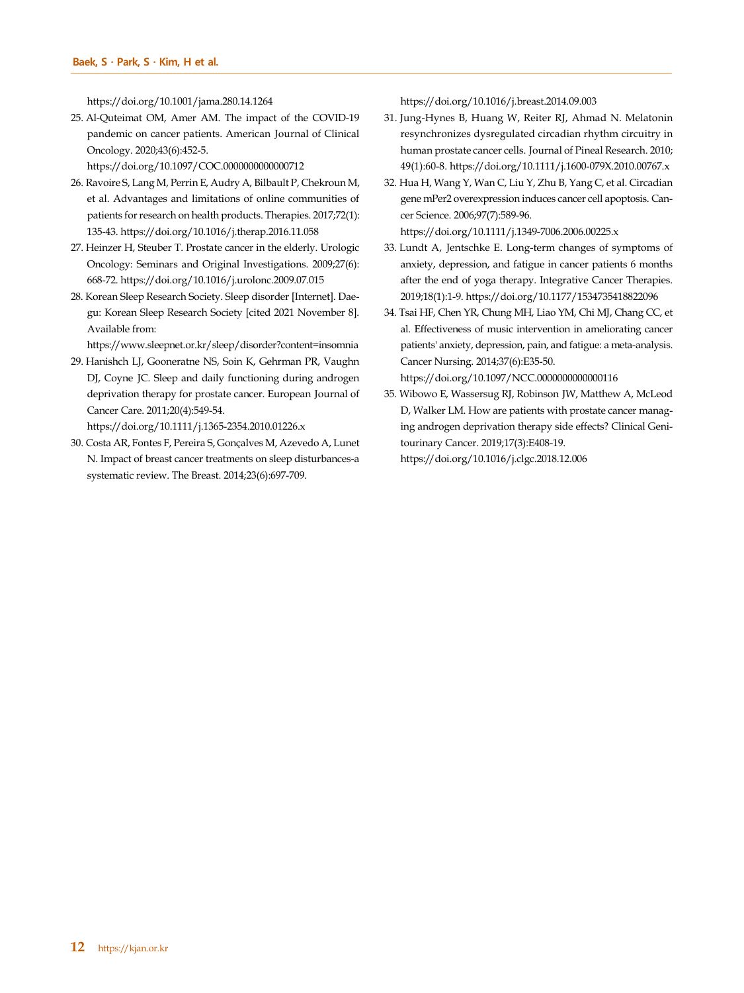https://doi.org/10.1001/jama.280.14.1264

25. Al-Quteimat OM, Amer AM. The impact of the COVID-19 pandemic on cancer patients. American Journal of Clinical Oncology. 2020;43(6):452-5.

https://doi.org/10.1097/COC.0000000000000712

- 26. Ravoire S, Lang M, Perrin E, Audry A, Bilbault P, Chekroun M, et al. Advantages and limitations of online communities of patients for research on health products. Therapies. 2017;72(1): 135-43. https://doi.org/10.1016/j.therap.2016.11.058
- 27. Heinzer H, Steuber T. Prostate cancer in the elderly. Urologic Oncology: Seminars and Original Investigations. 2009;27(6): 668-72. https://doi.org/10.1016/j.urolonc.2009.07.015
- 28. Korean Sleep Research Society. Sleep disorder [Internet]. Daegu: Korean Sleep Research Society [cited 2021 November 8]. Available from:

https://www.sleepnet.or.kr/sleep/disorder?content=insomnia

29. Hanishch LJ, Gooneratne NS, Soin K, Gehrman PR, Vaughn DJ, Coyne JC. Sleep and daily functioning during androgen deprivation therapy for prostate cancer. European Journal of Cancer Care. 2011;20(4):549-54.

https://doi.org/10.1111/j.1365-2354.2010.01226.x

30. Costa AR, Fontes F, Pereira S, Gonçalves M, Azevedo A, Lunet N. Impact of breast cancer treatments on sleep disturbances-a systematic review. The Breast. 2014;23(6):697-709.

https://doi.org/10.1016/j.breast.2014.09.003

- 31. Jung-Hynes B, Huang W, Reiter RJ, Ahmad N. Melatonin resynchronizes dysregulated circadian rhythm circuitry in human prostate cancer cells. Journal of Pineal Research. 2010; 49(1):60-8. https://doi.org/10.1111/j.1600-079X.2010.00767.x
- 32. Hua H, Wang Y, Wan C, Liu Y, Zhu B, Yang C, et al. Circadian gene mPer2 overexpression induces cancer cell apoptosis. Cancer Science. 2006;97(7):589-96. https://doi.org/10.1111/j.1349-7006.2006.00225.x

33. Lundt A, Jentschke E. Long-term changes of symptoms of anxiety, depression, and fatigue in cancer patients 6 months

- after the end of yoga therapy. Integrative Cancer Therapies. 2019;18(1):1-9. https://doi.org/10.1177/1534735418822096 34. Tsai HF, Chen YR, Chung MH, Liao YM, Chi MJ, Chang CC, et al. Effectiveness of music intervention in ameliorating cancer
- patients' anxiety, depression, pain, and fatigue: a meta-analysis. Cancer Nursing. 2014;37(6):E35-50.

https://doi.org/10.1097/NCC.0000000000000116

35. Wibowo E, Wassersug RJ, Robinson JW, Matthew A, McLeod D, Walker LM. How are patients with prostate cancer managing androgen deprivation therapy side effects? Clinical Genitourinary Cancer. 2019;17(3):E408-19. https://doi.org/10.1016/j.clgc.2018.12.006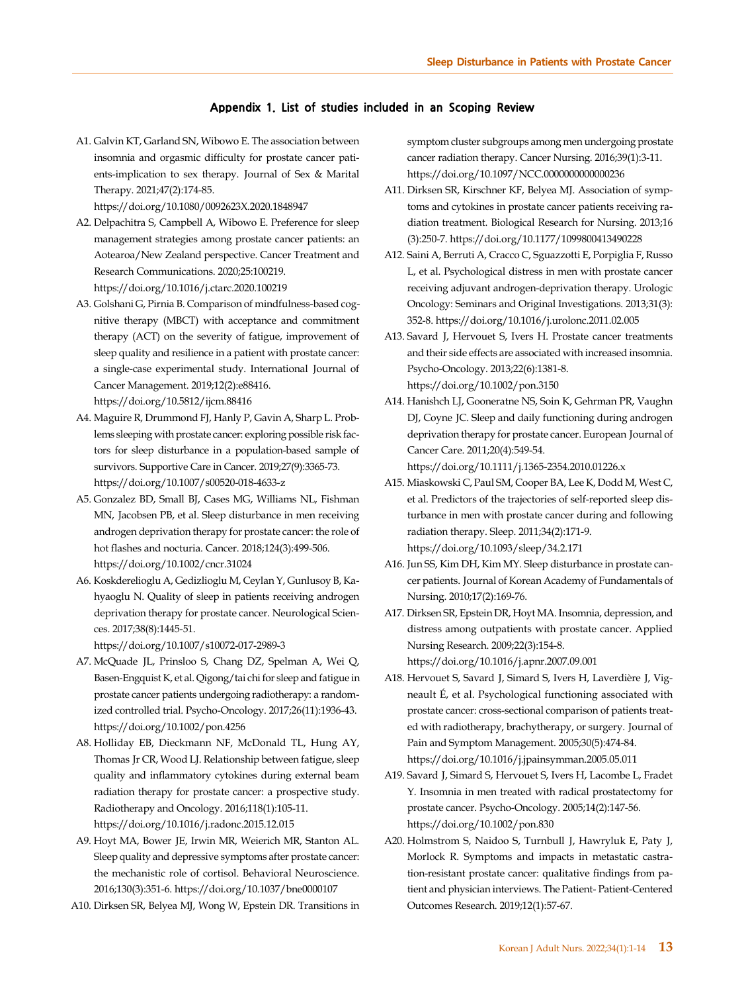#### **Appendix 1. List of studies included in an Scoping Review**

A1. Galvin KT, Garland SN, Wibowo E. The association between insomnia and orgasmic difficulty for prostate cancer patients-implication to sex therapy. Journal of Sex & Marital Therapy. 2021;47(2):174-85.

https://doi.org/10.1080/0092623X.2020.1848947

- A2. Delpachitra S, Campbell A, Wibowo E. Preference for sleep management strategies among prostate cancer patients: an Aotearoa/New Zealand perspective. Cancer Treatment and Research Communications. 2020;25:100219. https://doi.org/10.1016/j.ctarc.2020.100219
- A3. Golshani G, Pirnia B. Comparison of mindfulness-based cognitive therapy (MBCT) with acceptance and commitment therapy (ACT) on the severity of fatigue, improvement of sleep quality and resilience in a patient with prostate cancer: a single-case experimental study. International Journal of Cancer Management. 2019;12(2):e88416. https://doi.org/10.5812/ijcm.88416
- A4. Maguire R, Drummond FJ, Hanly P, Gavin A, Sharp L. Problems sleeping with prostate cancer: exploring possible risk factors for sleep disturbance in a population-based sample of survivors. Supportive Care in Cancer. 2019;27(9):3365-73. https://doi.org/10.1007/s00520-018-4633-z
- A5. Gonzalez BD, Small BJ, Cases MG, Williams NL, Fishman MN, Jacobsen PB, et al. Sleep disturbance in men receiving androgen deprivation therapy for prostate cancer: the role of hot flashes and nocturia. Cancer. 2018;124(3):499-506. https://doi.org/10.1002/cncr.31024
- A6. Koskderelioglu A, Gedizlioglu M, Ceylan Y, Gunlusoy B, Kahyaoglu N. Quality of sleep in patients receiving androgen deprivation therapy for prostate cancer. Neurological Sciences. 2017;38(8):1445-51.

https://doi.org/10.1007/s10072-017-2989-3

- A7. McQuade JL, Prinsloo S, Chang DZ, Spelman A, Wei Q, Basen-Engquist K, et al. Qigong/tai chi for sleep and fatigue in prostate cancer patients undergoing radiotherapy: a randomized controlled trial. Psycho-Oncology. 2017;26(11):1936-43. https://doi.org/10.1002/pon.4256
- A8. Holliday EB, Dieckmann NF, McDonald TL, Hung AY, Thomas Jr CR, Wood LJ. Relationship between fatigue, sleep quality and inflammatory cytokines during external beam radiation therapy for prostate cancer: a prospective study. Radiotherapy and Oncology. 2016;118(1):105-11. https://doi.org/10.1016/j.radonc.2015.12.015
- A9. Hoyt MA, Bower JE, Irwin MR, Weierich MR, Stanton AL. Sleep quality and depressive symptoms after prostate cancer: the mechanistic role of cortisol. Behavioral Neuroscience. 2016;130(3):351-6. https://doi.org/10.1037/bne0000107
- A10. Dirksen SR, Belyea MJ, Wong W, Epstein DR. Transitions in

symptom cluster subgroups among men undergoing prostate cancer radiation therapy. Cancer Nursing. 2016;39(1):3-11. https://doi.org/10.1097/NCC.0000000000000236

- A11. Dirksen SR, Kirschner KF, Belyea MJ. Association of symptoms and cytokines in prostate cancer patients receiving radiation treatment. Biological Research for Nursing. 2013;16 (3):250-7. https://doi.org/10.1177/1099800413490228
- A12. Saini A, Berruti A, Cracco C, Sguazzotti E, Porpiglia F, Russo L, et al. Psychological distress in men with prostate cancer receiving adjuvant androgen-deprivation therapy. Urologic Oncology: Seminars and Original Investigations. 2013;31(3): 352-8. https://doi.org/10.1016/j.urolonc.2011.02.005
- A13. Savard J, Hervouet S, Ivers H. Prostate cancer treatments and their side effects are associated with increased insomnia. Psycho-Oncology. 2013;22(6):1381-8. https://doi.org/10.1002/pon.3150
- A14. Hanishch LJ, Gooneratne NS, Soin K, Gehrman PR, Vaughn DJ, Coyne JC. Sleep and daily functioning during androgen deprivation therapy for prostate cancer. European Journal of Cancer Care. 2011;20(4):549-54.

https://doi.org/10.1111/j.1365-2354.2010.01226.x

- A15. Miaskowski C, Paul SM, Cooper BA, Lee K, Dodd M, West C, et al. Predictors of the trajectories of self-reported sleep disturbance in men with prostate cancer during and following radiation therapy. Sleep. 2011;34(2):171-9. https://doi.org/10.1093/sleep/34.2.171
- A16. Jun SS, Kim DH, Kim MY. Sleep disturbance in prostate cancer patients. Journal of Korean Academy of Fundamentals of Nursing. 2010;17(2):169-76.
- A17. Dirksen SR, Epstein DR, Hoyt MA. Insomnia, depression, and distress among outpatients with prostate cancer. Applied Nursing Research. 2009;22(3):154-8. https://doi.org/10.1016/j.apnr.2007.09.001

A18. Hervouet S, Savard J, Simard S, Ivers H, Laverdière J, Vigneault É, et al. Psychological functioning associated with prostate cancer: cross-sectional comparison of patients treated with radiotherapy, brachytherapy, or surgery. Journal of Pain and Symptom Management. 2005;30(5):474-84. https://doi.org/10.1016/j.jpainsymman.2005.05.011

- A19. Savard J, Simard S, Hervouet S, Ivers H, Lacombe L, Fradet Y. Insomnia in men treated with radical prostatectomy for prostate cancer. Psycho-Oncology. 2005;14(2):147-56. https://doi.org/10.1002/pon.830
- A20. Holmstrom S, Naidoo S, Turnbull J, Hawryluk E, Paty J, Morlock R. Symptoms and impacts in metastatic castration-resistant prostate cancer: qualitative findings from patient and physician interviews. The Patient- Patient-Centered Outcomes Research. 2019;12(1):57-67.